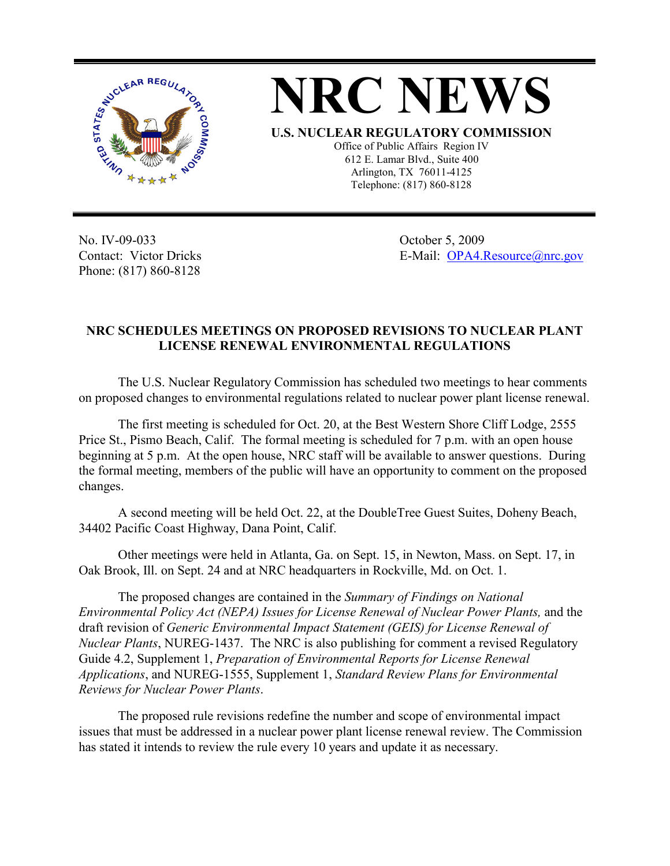



Telephone: (817) 860-8128

No. IV-09-033 Contact: Victor Dricks Phone: (817) 860-8128

 October 5, 2009 E-Mail: OPA4.Resource@nrc.gov

## **NRC SCHEDULES MEETINGS ON PROPOSED REVISIONS TO NUCLEAR PLANT LICENSE RENEWAL ENVIRONMENTAL REGULATIONS**

The U.S. Nuclear Regulatory Commission has scheduled two meetings to hear comments on proposed changes to environmental regulations related to nuclear power plant license renewal.

The first meeting is scheduled for Oct. 20, at the Best Western Shore Cliff Lodge, 2555 Price St., Pismo Beach, Calif. The formal meeting is scheduled for 7 p.m. with an open house beginning at 5 p.m. At the open house, NRC staff will be available to answer questions. During the formal meeting, members of the public will have an opportunity to comment on the proposed changes.

A second meeting will be held Oct. 22, at the DoubleTree Guest Suites, Doheny Beach, 34402 Pacific Coast Highway, Dana Point, Calif.

Other meetings were held in Atlanta, Ga. on Sept. 15, in Newton, Mass. on Sept. 17, in Oak Brook, Ill. on Sept. 24 and at NRC headquarters in Rockville, Md. on Oct. 1.

The proposed changes are contained in the *Summary of Findings on National Environmental Policy Act (NEPA) Issues for License Renewal of Nuclear Power Plants,* and the draft revision of *Generic Environmental Impact Statement (GEIS) for License Renewal of Nuclear Plants*, NUREG-1437. The NRC is also publishing for comment a revised Regulatory Guide 4.2, Supplement 1, *Preparation of Environmental Reports for License Renewal Applications*, and NUREG-1555, Supplement 1, *Standard Review Plans for Environmental Reviews for Nuclear Power Plants*.

The proposed rule revisions redefine the number and scope of environmental impact issues that must be addressed in a nuclear power plant license renewal review. The Commission has stated it intends to review the rule every 10 years and update it as necessary.